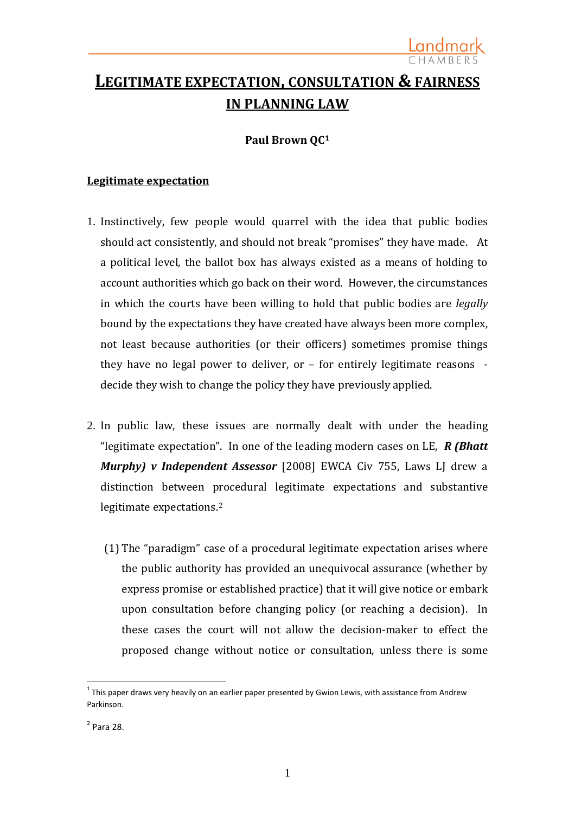# **LEGITIMATE EXPECTATION, CONSULTATION & FAIRNESS IN PLANNING LAW**

# **Paul Brown QC[1](#page-0-0)**

# **Legitimate expectation**

- 1. Instinctively, few people would quarrel with the idea that public bodies should act consistently, and should not break "promises" they have made. At a political level, the ballot box has always existed as a means of holding to account authorities which go back on their word. However, the circumstances in which the courts have been willing to hold that public bodies are *legally*  bound by the expectations they have created have always been more complex, not least because authorities (or their officers) sometimes promise things they have no legal power to deliver, or – for entirely legitimate reasons decide they wish to change the policy they have previously applied.
- 2. In public law, these issues are normally dealt with under the heading "legitimate expectation". In one of the leading modern cases on LE, *R (Bhatt Murphy) v Independent Assessor* [2008] EWCA Civ 755, Laws LJ drew a distinction between procedural legitimate expectations and substantive legitimate expectations.[2](#page-0-1)
	- (1) The "paradigm" case of a procedural legitimate expectation arises where the public authority has provided an unequivocal assurance (whether by express promise or established practice) that it will give notice or embark upon consultation before changing policy (or reaching a decision). In these cases the court will not allow the decision-maker to effect the proposed change without notice or consultation, unless there is some

<span id="page-0-0"></span> $1$  This paper draws very heavily on an earlier paper presented by Gwion Lewis, with assistance from Andrew Parkinson.

<span id="page-0-1"></span><sup>2</sup> Para 28.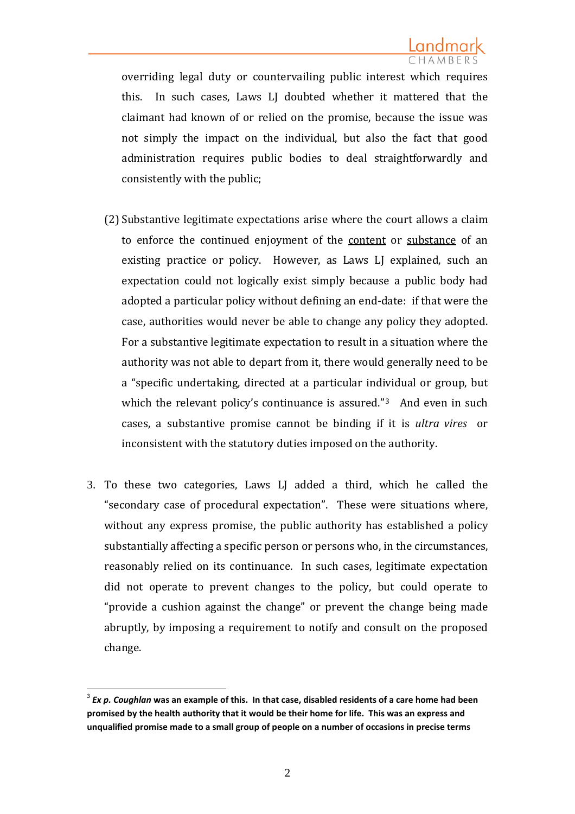overriding legal duty or countervailing public interest which requires this. In such cases, Laws LJ doubted whether it mattered that the claimant had known of or relied on the promise, because the issue was not simply the impact on the individual, but also the fact that good administration requires public bodies to deal straightforwardly and consistently with the public;

- (2) Substantive legitimate expectations arise where the court allows a claim to enforce the continued enjoyment of the content or substance of an existing practice or policy. However, as Laws LJ explained, such an expectation could not logically exist simply because a public body had adopted a particular policy without defining an end-date: if that were the case, authorities would never be able to change any policy they adopted. For a substantive legitimate expectation to result in a situation where the authority was not able to depart from it, there would generally need to be a "specific undertaking, directed at a particular individual or group, but which the relevant policy's continuance is assured."<sup>[3](#page-1-0)</sup> And even in such cases, a substantive promise cannot be binding if it is *ultra vires* or inconsistent with the statutory duties imposed on the authority.
- 3. To these two categories, Laws LJ added a third, which he called the "secondary case of procedural expectation". These were situations where, without any express promise, the public authority has established a policy substantially affecting a specific person or persons who, in the circumstances, reasonably relied on its continuance. In such cases, legitimate expectation did not operate to prevent changes to the policy, but could operate to "provide a cushion against the change" or prevent the change being made abruptly, by imposing a requirement to notify and consult on the proposed change.

<span id="page-1-0"></span><sup>3</sup> *Ex p. Coughlan* **was an example of this. In that case, disabled residents of a care home had been promised by the health authority that it would be their home for life. This was an express and unqualified promise made to a small group of people on a number of occasions in precise terms**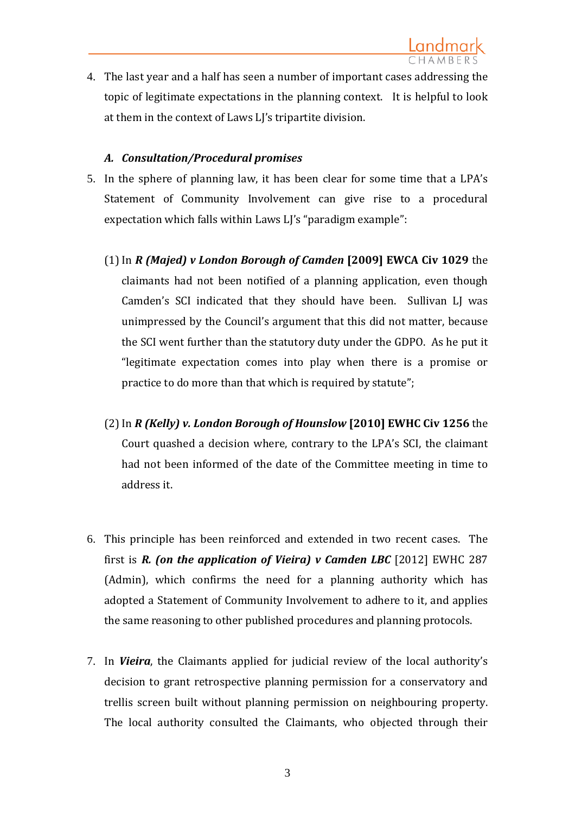4. The last year and a half has seen a number of important cases addressing the topic of legitimate expectations in the planning context. It is helpful to look at them in the context of Laws LJ's tripartite division.

# *A. Consultation/Procedural promises*

- 5. In the sphere of planning law, it has been clear for some time that a LPA's Statement of Community Involvement can give rise to a procedural expectation which falls within Laws LJ's "paradigm example":
	- (1)In *R (Majed) v London Borough of Camden* **[2009] EWCA Civ 1029** the claimants had not been notified of a planning application, even though Camden's SCI indicated that they should have been. Sullivan LJ was unimpressed by the Council's argument that this did not matter, because the SCI went further than the statutory duty under the GDPO. As he put it "legitimate expectation comes into play when there is a promise or practice to do more than that which is required by statute";
	- (2)In *R (Kelly) v. London Borough of Hounslow* **[2010] EWHC Civ 1256** the Court quashed a decision where, contrary to the LPA's SCI, the claimant had not been informed of the date of the Committee meeting in time to address it.
- 6. This principle has been reinforced and extended in two recent cases. The first is *R. (on the application of Vieira) v Camden LBC* [2012] EWHC 287 (Admin), which confirms the need for a planning authority which has adopted a Statement of Community Involvement to adhere to it, and applies the same reasoning to other published procedures and planning protocols.
- 7. In *Vieira*, the Claimants applied for judicial review of the local authority's decision to grant retrospective planning permission for a conservatory and trellis screen built without planning permission on neighbouring property. The local authority consulted the Claimants, who objected through their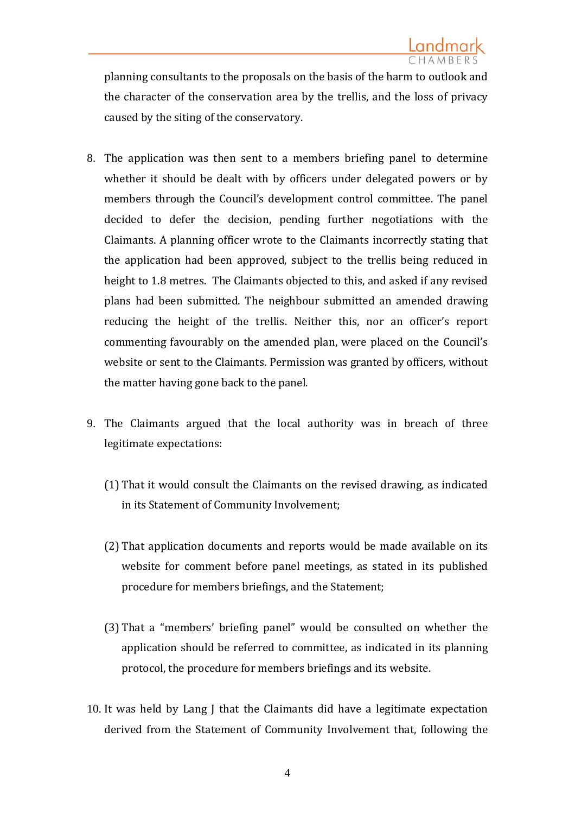planning consultants to the proposals on the basis of the harm to outlook and the character of the conservation area by the trellis, and the loss of privacy caused by the siting of the conservatory.

- 8. The application was then sent to a members briefing panel to determine whether it should be dealt with by officers under delegated powers or by members through the Council's development control committee. The panel decided to defer the decision, pending further negotiations with the Claimants. A planning officer wrote to the Claimants incorrectly stating that the application had been approved, subject to the trellis being reduced in height to 1.8 metres. The Claimants objected to this, and asked if any revised plans had been submitted. The neighbour submitted an amended drawing reducing the height of the trellis. Neither this, nor an officer's report commenting favourably on the amended plan, were placed on the Council's website or sent to the Claimants. Permission was granted by officers, without the matter having gone back to the panel.
- 9. The Claimants argued that the local authority was in breach of three legitimate expectations:
	- (1) That it would consult the Claimants on the revised drawing, as indicated in its Statement of Community Involvement;
	- (2) That application documents and reports would be made available on its website for comment before panel meetings, as stated in its published procedure for members briefings, and the Statement;
	- (3) That a "members' briefing panel" would be consulted on whether the application should be referred to committee, as indicated in its planning protocol, the procedure for members briefings and its website.
- 10. It was held by Lang J that the Claimants did have a legitimate expectation derived from the Statement of Community Involvement that, following the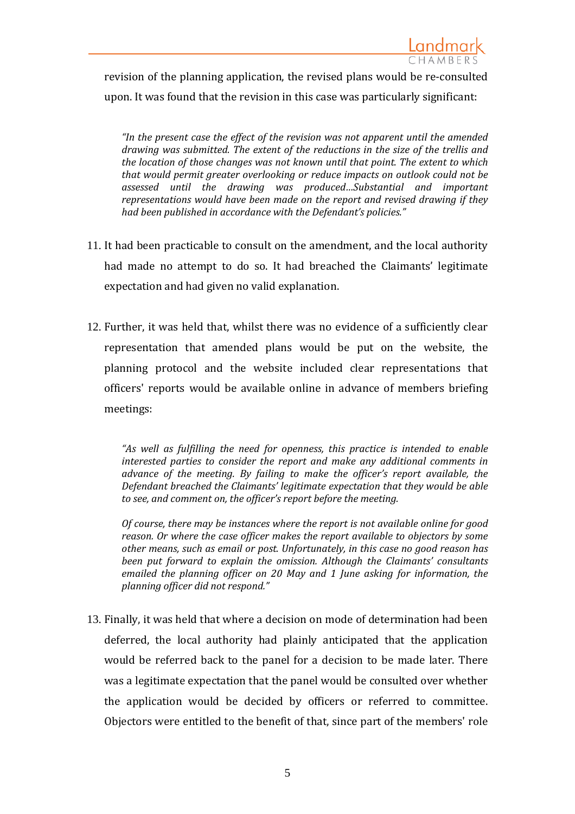revision of the planning application, the revised plans would be re-consulted upon. It was found that the revision in this case was particularly significant:

*"In the present case the effect of the revision was not apparent until the amended drawing was submitted. The extent of the reductions in the size of the trellis and the location of those changes was not known until that point. The extent to which that would permit greater overlooking or reduce impacts on outlook could not be assessed until the drawing was produced…Substantial and important representations would have been made on the report and revised drawing if they had been published in accordance with the Defendant's policies."*

- 11. It had been practicable to consult on the amendment, and the local authority had made no attempt to do so. It had breached the Claimants' legitimate expectation and had given no valid explanation.
- 12. Further, it was held that, whilst there was no evidence of a sufficiently clear representation that amended plans would be put on the website, the planning protocol and the website included clear representations that officers' reports would be available online in advance of members briefing meetings:

*"As well as fulfilling the need for openness, this practice is intended to enable interested parties to consider the report and make any additional comments in advance of the meeting. By failing to make the officer's report available, the Defendant breached the Claimants' legitimate expectation that they would be able to see, and comment on, the officer's report before the meeting.* 

*Of course, there may be instances where the report is not available online for good reason. Or where the case officer makes the report available to objectors by some other means, such as email or post. Unfortunately, in this case no good reason has been put forward to explain the omission. Although the Claimants' consultants emailed the planning officer on 20 May and 1 June asking for information, the planning officer did not respond."* 

13. Finally, it was held that where a decision on mode of determination had been deferred, the local authority had plainly anticipated that the application would be referred back to the panel for a decision to be made later. There was a legitimate expectation that the panel would be consulted over whether the application would be decided by officers or referred to committee. Objectors were entitled to the benefit of that, since part of the members' role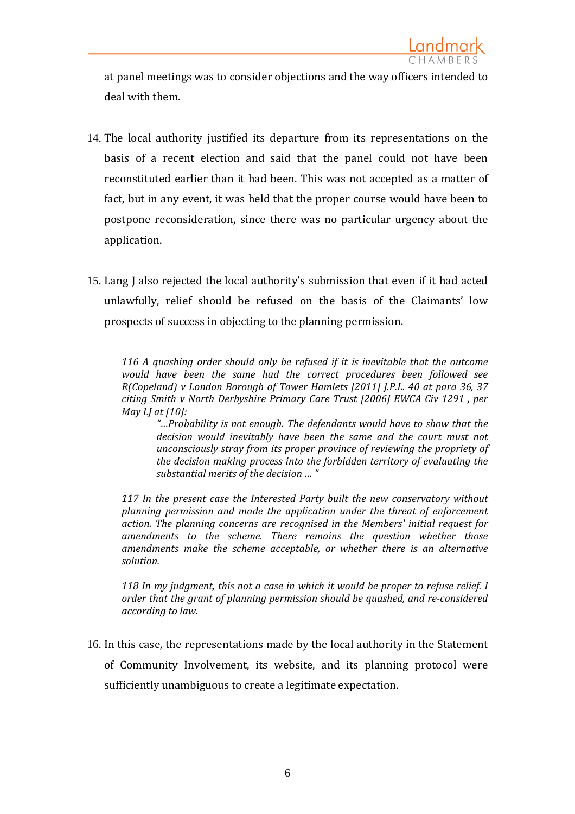at panel meetings was to consider objections and the way officers intended to deal with them.

- 14. The local authority justified its departure from its representations on the basis of a recent election and said that the panel could not have been reconstituted earlier than it had been. This was not accepted as a matter of fact, but in any event, it was held that the proper course would have been to postpone reconsideration, since there was no particular urgency about the application.
- 15. Lang J also rejected the local authority's submission that even if it had acted unlawfully, relief should be refused on the basis of the Claimants' low prospects of success in objecting to the planning permission.

*116 A quashing order should only be refused if it is inevitable that the outcome would have been the same had the correct procedures been followed see R(Copeland) v London Borough of Tower Hamlets [2011] J.P.L. 40 at para 36, 37 citing Smith v North Derbyshire Primary Care Trust [2006] EWCA Civ 1291 , per May LJ at [10]:*

*"…Probability is not enough. The defendants would have to show that the decision would inevitably have been the same and the court must not unconsciously stray from its proper province of reviewing the propriety of the decision making process into the forbidden territory of evaluating the substantial merits of the decision … "*

*117 In the present case the Interested Party built the new conservatory without planning permission and made the application under the threat of enforcement action. The planning concerns are recognised in the Members' initial request for amendments to the scheme. There remains the question whether those amendments make the scheme acceptable, or whether there is an alternative solution.*

*118 In my judgment, this not a case in which it would be proper to refuse relief. I order that the grant of planning permission should be quashed, and re-considered according to law.*

16. In this case, the representations made by the local authority in the Statement of Community Involvement, its website, and its planning protocol were sufficiently unambiguous to create a legitimate expectation.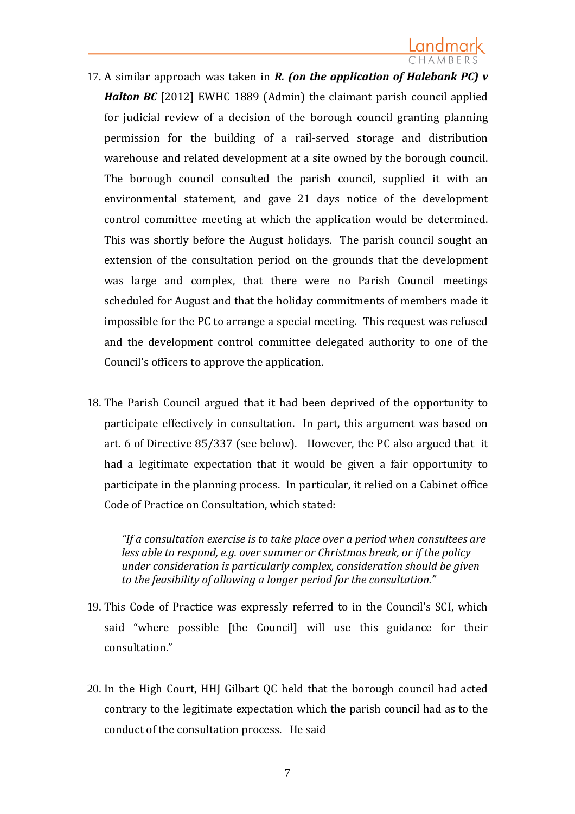- 17. A similar approach was taken in *R. (on the application of Halebank PC) v Halton BC* [2012] EWHC 1889 (Admin) the claimant parish council applied for judicial review of a decision of the borough council granting planning permission for the building of a rail-served storage and distribution warehouse and related development at a site owned by the borough council. The borough council consulted the parish council, supplied it with an environmental statement, and gave 21 days notice of the development control committee meeting at which the application would be determined. This was shortly before the August holidays. The parish council sought an extension of the consultation period on the grounds that the development was large and complex, that there were no Parish Council meetings scheduled for August and that the holiday commitments of members made it impossible for the PC to arrange a special meeting. This request was refused and the development control committee delegated authority to one of the Council's officers to approve the application.
- 18. The Parish Council argued that it had been deprived of the opportunity to participate effectively in consultation. In part, this argument was based on art. 6 of Directive 85/337 (see below). However, the PC also argued that it had a legitimate expectation that it would be given a fair opportunity to participate in the planning process. In particular, it relied on a Cabinet office Code of Practice on Consultation, which stated:

*"If a consultation exercise is to take place over a period when consultees are less able to respond, e.g. over summer or Christmas break, or if the policy under consideration is particularly complex, consideration should be given to the feasibility of allowing a longer period for the consultation."*

- 19. This Code of Practice was expressly referred to in the Council's SCI, which said "where possible [the Council] will use this guidance for their consultation."
- 20. In the High Court, HHJ Gilbart QC held that the borough council had acted contrary to the legitimate expectation which the parish council had as to the conduct of the consultation process. He said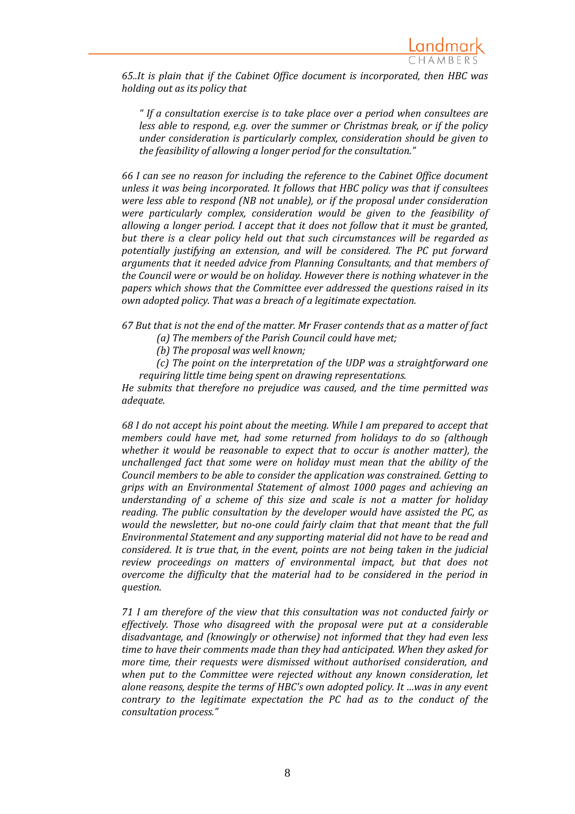

*65..It is plain that if the Cabinet Office document is incorporated, then HBC was holding out as its policy that*

*" If a consultation exercise is to take place over a period when consultees are less able to respond, e.g. over the summer or Christmas break, or if the policy under consideration is particularly complex, consideration should be given to the feasibility of allowing a longer period for the consultation."*

*66 I can see no reason for including the reference to the Cabinet Office document unless it was being incorporated. It follows that HBC policy was that if consultees were less able to respond (NB not unable), or if the proposal under consideration were particularly complex, consideration would be given to the feasibility of allowing a longer period. I accept that it does not follow that it must be granted, but there is a clear policy held out that such circumstances will be regarded as potentially justifying an extension, and will be considered. The PC put forward arguments that it needed advice from Planning Consultants, and that members of the Council were or would be on holiday. However there is nothing whatever in the papers which shows that the Committee ever addressed the questions raised in its own adopted policy. That was a breach of a legitimate expectation.*

*67 But that is not the end of the matter. Mr Fraser contends that as a matter of fact (a) The members of the Parish Council could have met;*

*(b) The proposal was well known;*

*(c) The point on the interpretation of the UDP was a straightforward one requiring little time being spent on drawing representations.*

*He submits that therefore no prejudice was caused, and the time permitted was adequate.*

*68 I do not accept his point about the meeting. While I am prepared to accept that members could have met, had some returned from holidays to do so (although whether it would be reasonable to expect that to occur is another matter), the unchallenged fact that some were on holiday must mean that the ability of the Council members to be able to consider the application was constrained. Getting to grips with an Environmental Statement of almost 1000 pages and achieving an understanding of a scheme of this size and scale is not a matter for holiday reading. The public consultation by the developer would have assisted the PC, as would the newsletter, but no-one could fairly claim that that meant that the full Environmental Statement and any supporting material did not have to be read and considered. It is true that, in the event, points are not being taken in the judicial review proceedings on matters of environmental impact, but that does not overcome the difficulty that the material had to be considered in the period in question.*

*71 I am therefore of the view that this consultation was not conducted fairly or effectively. Those who disagreed with the proposal were put at a considerable disadvantage, and (knowingly or otherwise) not informed that they had even less time to have their comments made than they had anticipated. When they asked for more time, their requests were dismissed without authorised consideration, and when put to the Committee were rejected without any known consideration, let alone reasons, despite the terms of HBC's own adopted policy. It …was in any event contrary to the legitimate expectation the PC had as to the conduct of the consultation process."*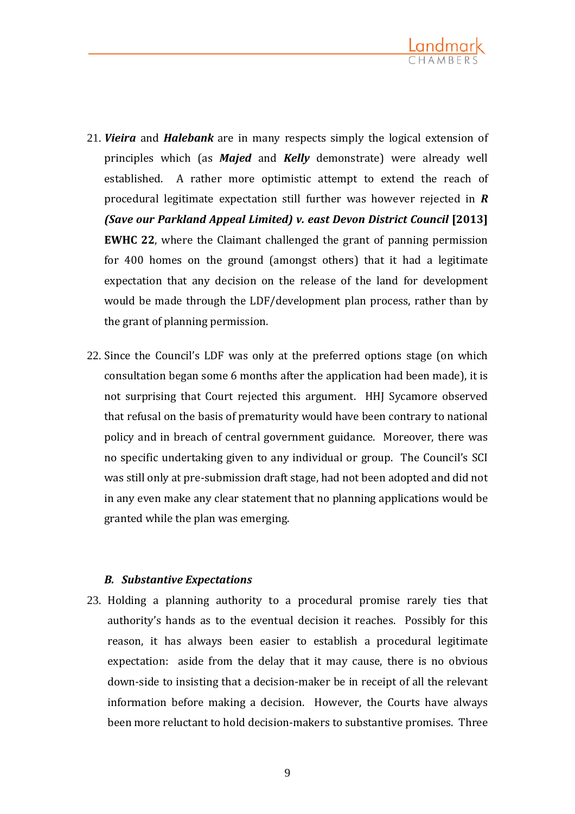

- 21. *Vieira* and *Halebank* are in many respects simply the logical extension of principles which (as *Majed* and *Kelly* demonstrate) were already well established. A rather more optimistic attempt to extend the reach of procedural legitimate expectation still further was however rejected in *R*  **(Save our Parkland Appeal Limited) v. east Devon District Council [2013] EWHC 22**, where the Claimant challenged the grant of panning permission for 400 homes on the ground (amongst others) that it had a legitimate expectation that any decision on the release of the land for development would be made through the LDF/development plan process, rather than by the grant of planning permission.
- 22. Since the Council's LDF was only at the preferred options stage (on which consultation began some 6 months after the application had been made), it is not surprising that Court rejected this argument. HHJ Sycamore observed that refusal on the basis of prematurity would have been contrary to national policy and in breach of central government guidance. Moreover, there was no specific undertaking given to any individual or group. The Council's SCI was still only at pre-submission draft stage, had not been adopted and did not in any even make any clear statement that no planning applications would be granted while the plan was emerging.

### *B. Substantive Expectations*

23. Holding a planning authority to a procedural promise rarely ties that authority's hands as to the eventual decision it reaches. Possibly for this reason, it has always been easier to establish a procedural legitimate expectation: aside from the delay that it may cause, there is no obvious down-side to insisting that a decision-maker be in receipt of all the relevant information before making a decision. However, the Courts have always been more reluctant to hold decision-makers to substantive promises. Three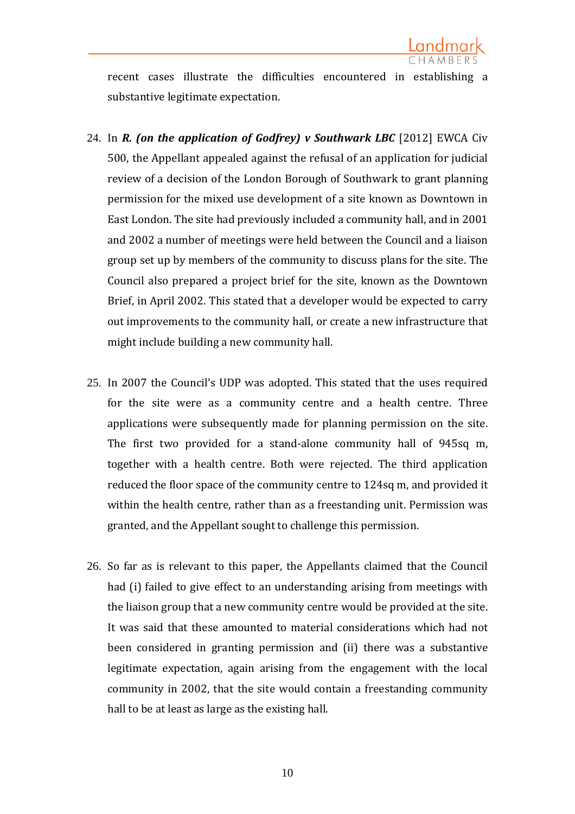

recent cases illustrate the difficulties encountered in establishing a substantive legitimate expectation.

- 24. In *R. (on the application of Godfrey) v Southwark LBC* [2012] EWCA Civ 500, the Appellant appealed against the refusal of an application for judicial review of a decision of the London Borough of Southwark to grant planning permission for the mixed use development of a site known as Downtown in East London. The site had previously included a community hall, and in 2001 and 2002 a number of meetings were held between the Council and a liaison group set up by members of the community to discuss plans for the site. The Council also prepared a project brief for the site, known as the Downtown Brief, in April 2002. This stated that a developer would be expected to carry out improvements to the community hall, or create a new infrastructure that might include building a new community hall.
- 25. In 2007 the Council's UDP was adopted. This stated that the uses required for the site were as a community centre and a health centre. Three applications were subsequently made for planning permission on the site. The first two provided for a stand-alone community hall of 945sq m, together with a health centre. Both were rejected. The third application reduced the floor space of the community centre to 124sq m, and provided it within the health centre, rather than as a freestanding unit. Permission was granted, and the Appellant sought to challenge this permission.
- 26. So far as is relevant to this paper, the Appellants claimed that the Council had (i) failed to give effect to an understanding arising from meetings with the liaison group that a new community centre would be provided at the site. It was said that these amounted to material considerations which had not been considered in granting permission and (ii) there was a substantive legitimate expectation, again arising from the engagement with the local community in 2002, that the site would contain a freestanding community hall to be at least as large as the existing hall.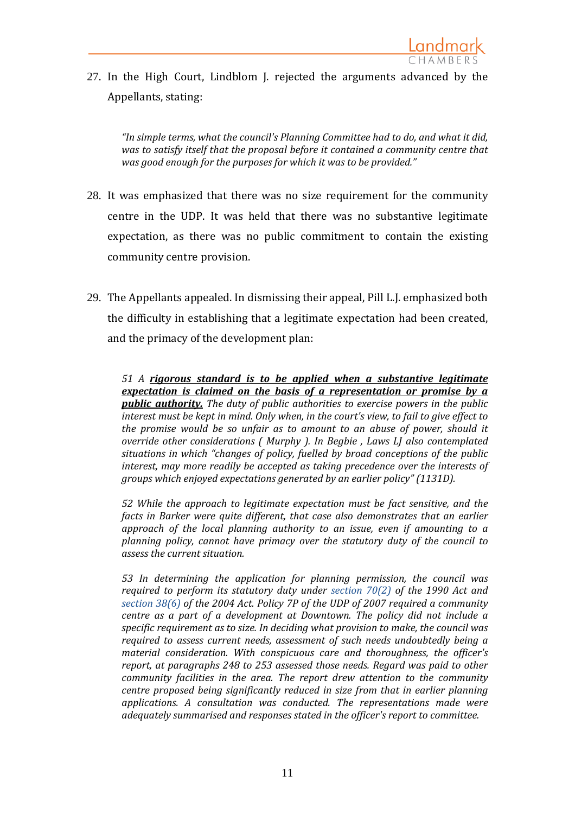

27. In the High Court, Lindblom J. rejected the arguments advanced by the Appellants, stating:

*"In simple terms, what the council's Planning Committee had to do, and what it did, was to satisfy itself that the proposal before it contained a community centre that was good enough for the purposes for which it was to be provided."*

- 28. It was emphasized that there was no size requirement for the community centre in the UDP. It was held that there was no substantive legitimate expectation, as there was no public commitment to contain the existing community centre provision.
- 29. The Appellants appealed. In dismissing their appeal, Pill L.J. emphasized both the difficulty in establishing that a legitimate expectation had been created, and the primacy of the development plan:

*51 A rigorous standard is to be applied when a substantive legitimate expectation is claimed on the basis of a representation or promise by a public authority. The duty of public authorities to exercise powers in the public interest must be kept in mind. Only when, in the court's view, to fail to give effect to the promise would be so unfair as to amount to an abuse of power, should it override other considerations ( Murphy ). In Begbie , Laws LJ also contemplated situations in which "changes of policy, fuelled by broad conceptions of the public interest, may more readily be accepted as taking precedence over the interests of groups which enjoyed expectations generated by an earlier policy" (1131D).*

*52 While the approach to legitimate expectation must be fact sensitive, and the facts in Barker were quite different, that case also demonstrates that an earlier approach of the local planning authority to an issue, even if amounting to a planning policy, cannot have primacy over the statutory duty of the council to assess the current situation.*

*53 In determining the application for planning permission, the council was required to perform its statutory duty under section 70(2) of the 1990 Act and section 38(6) of the 2004 Act. Policy 7P of the UDP of 2007 required a community centre as a part of a development at Downtown. The policy did not include a specific requirement as to size. In deciding what provision to make, the council was required to assess current needs, assessment of such needs undoubtedly being a material consideration. With conspicuous care and thoroughness, the officer's report, at paragraphs 248 to 253 assessed those needs. Regard was paid to other community facilities in the area. The report drew attention to the community centre proposed being significantly reduced in size from that in earlier planning applications. A consultation was conducted. The representations made were adequately summarised and responses stated in the officer's report to committee.*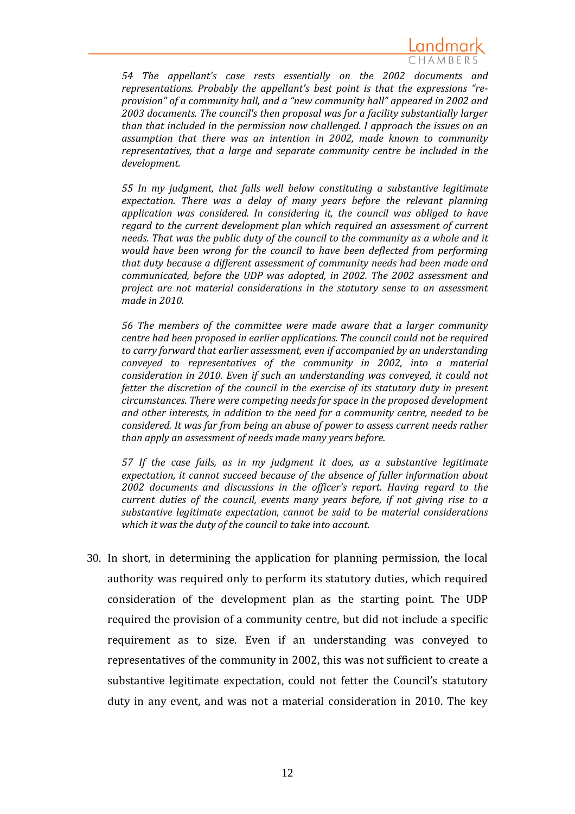

*54 The appellant's case rests essentially on the 2002 documents and representations. Probably the appellant's best point is that the expressions "reprovision" of a community hall, and a "new community hall" appeared in 2002 and 2003 documents. The council's then proposal was for a facility substantially larger than that included in the permission now challenged. I approach the issues on an assumption that there was an intention in 2002, made known to community representatives, that a large and separate community centre be included in the development.*

*55 In my judgment, that falls well below constituting a substantive legitimate expectation. There was a delay of many years before the relevant planning application was considered. In considering it, the council was obliged to have regard to the current development plan which required an assessment of current needs. That was the public duty of the council to the community as a whole and it would have been wrong for the council to have been deflected from performing that duty because a different assessment of community needs had been made and communicated, before the UDP was adopted, in 2002. The 2002 assessment and project are not material considerations in the statutory sense to an assessment made in 2010.*

*56 The members of the committee were made aware that a larger community centre had been proposed in earlier applications. The council could not be required to carry forward that earlier assessment, even if accompanied by an understanding conveyed to representatives of the community in 2002, into a material consideration in 2010. Even if such an understanding was conveyed, it could not fetter the discretion of the council in the exercise of its statutory duty in present circumstances. There were competing needs for space in the proposed development and other interests, in addition to the need for a community centre, needed to be considered. It was far from being an abuse of power to assess current needs rather than apply an assessment of needs made many years before.*

*57 If the case fails, as in my judgment it does, as a substantive legitimate expectation, it cannot succeed because of the absence of fuller information about 2002 documents and discussions in the officer's report. Having regard to the current duties of the council, events many years before, if not giving rise to a substantive legitimate expectation, cannot be said to be material considerations which it was the duty of the council to take into account.*

30. In short, in determining the application for planning permission, the local authority was required only to perform its statutory duties, which required consideration of the development plan as the starting point. The UDP required the provision of a community centre, but did not include a specific requirement as to size. Even if an understanding was conveyed to representatives of the community in 2002, this was not sufficient to create a substantive legitimate expectation, could not fetter the Council's statutory duty in any event, and was not a material consideration in 2010. The key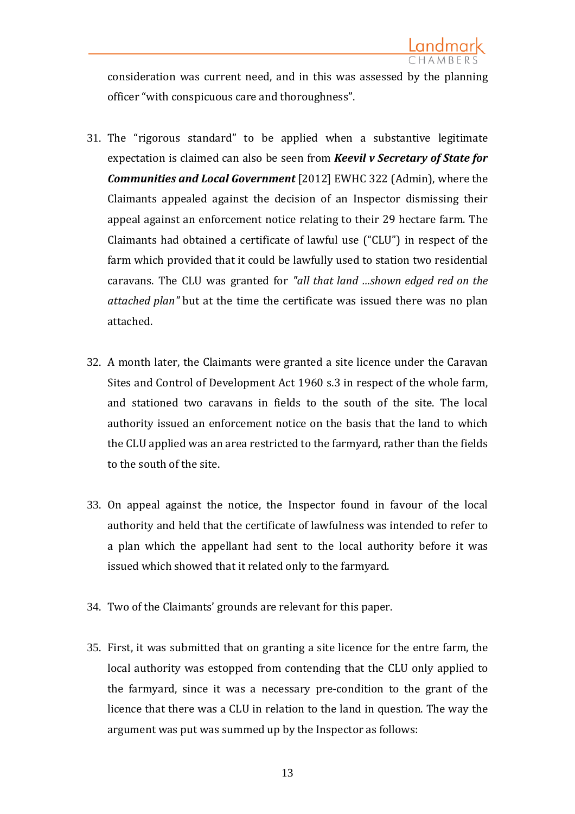consideration was current need, and in this was assessed by the planning officer "with conspicuous care and thoroughness".

- 31. The "rigorous standard" to be applied when a substantive legitimate expectation is claimed can also be seen from *Keevil v Secretary of State for Communities and Local Government* [2012] EWHC 322 (Admin), where the Claimants appealed against the decision of an Inspector dismissing their appeal against an enforcement notice relating to their 29 hectare farm. The Claimants had obtained a certificate of lawful use ("CLU") in respect of the farm which provided that it could be lawfully used to station two residential caravans. The CLU was granted for *"all that land …shown edged red on the attached plan"* but at the time the certificate was issued there was no plan attached.
- 32. A month later, the Claimants were granted a site licence under the Caravan Sites and Control of Development Act 1960 s.3 in respect of the whole farm, and stationed two caravans in fields to the south of the site. The local authority issued an enforcement notice on the basis that the land to which the CLU applied was an area restricted to the farmyard, rather than the fields to the south of the site.
- 33. On appeal against the notice, the Inspector found in favour of the local authority and held that the certificate of lawfulness was intended to refer to a plan which the appellant had sent to the local authority before it was issued which showed that it related only to the farmyard.
- 34. Two of the Claimants' grounds are relevant for this paper.
- 35. First, it was submitted that on granting a site licence for the entre farm, the local authority was estopped from contending that the CLU only applied to the farmyard, since it was a necessary pre-condition to the grant of the licence that there was a CLU in relation to the land in question. The way the argument was put was summed up by the Inspector as follows: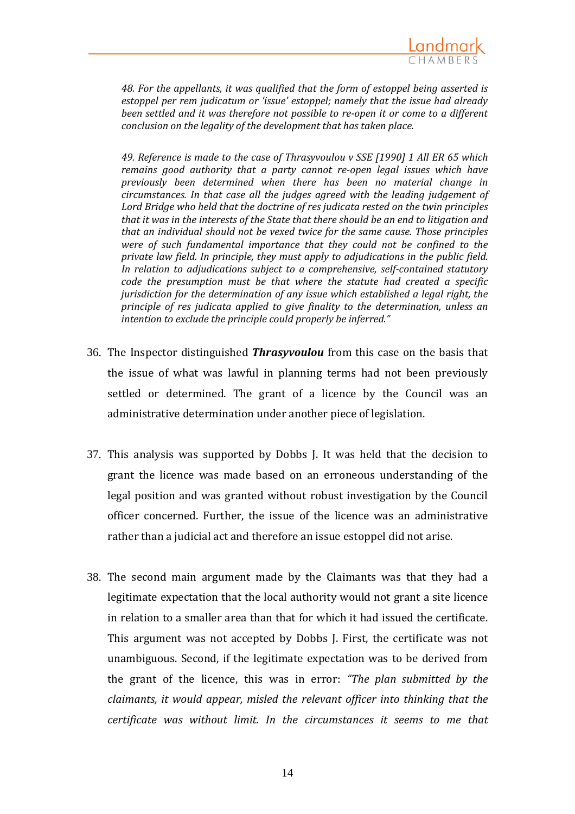

*48. For the appellants, it was qualified that the form of estoppel being asserted is estoppel per rem judicatum or 'issue' estoppel; namely that the issue had already been settled and it was therefore not possible to re-open it or come to a different conclusion on the legality of the development that has taken place.*

*49. Reference is made to the case of Thrasyvoulou v SSE [1990] 1 All ER 65 which remains good authority that a party cannot re-open legal issues which have previously been determined when there has been no material change in circumstances. In that case all the judges agreed with the leading judgement of Lord Bridge who held that the doctrine of res judicata rested on the twin principles that it was in the interests of the State that there should be an end to litigation and that an individual should not be vexed twice for the same cause. Those principles were of such fundamental importance that they could not be confined to the private law field. In principle, they must apply to adjudications in the public field. In relation to adjudications subject to a comprehensive, self-contained statutory code the presumption must be that where the statute had created a specific jurisdiction for the determination of any issue which established a legal right, the principle of res judicata applied to give finality to the determination, unless an intention to exclude the principle could properly be inferred."*

- 36. The Inspector distinguished *Thrasyvoulou* from this case on the basis that the issue of what was lawful in planning terms had not been previously settled or determined. The grant of a licence by the Council was an administrative determination under another piece of legislation.
- 37. This analysis was supported by Dobbs J. It was held that the decision to grant the licence was made based on an erroneous understanding of the legal position and was granted without robust investigation by the Council officer concerned. Further, the issue of the licence was an administrative rather than a judicial act and therefore an issue estoppel did not arise.
- 38. The second main argument made by the Claimants was that they had a legitimate expectation that the local authority would not grant a site licence in relation to a smaller area than that for which it had issued the certificate. This argument was not accepted by Dobbs J. First, the certificate was not unambiguous. Second, if the legitimate expectation was to be derived from the grant of the licence, this was in error: *"The plan submitted by the claimants, it would appear, misled the relevant officer into thinking that the certificate was without limit. In the circumstances it seems to me that*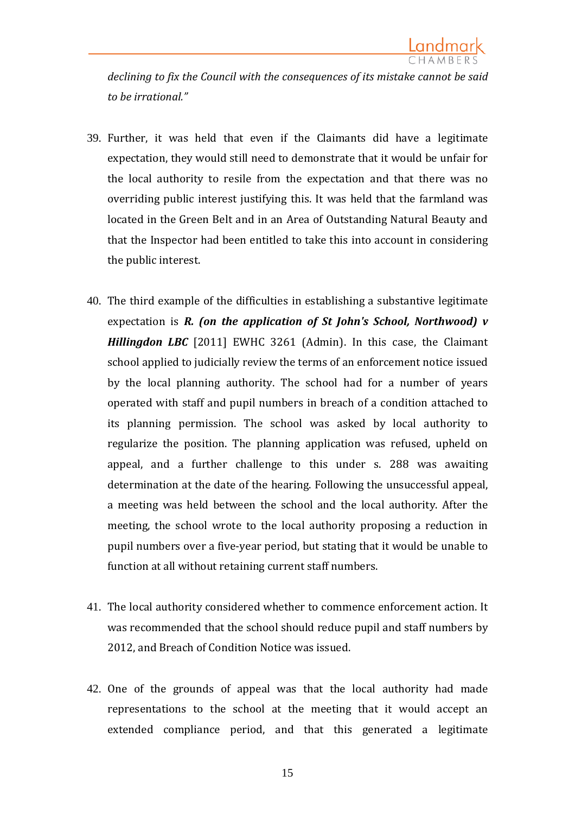*declining to fix the Council with the consequences of its mistake cannot be said to be irrational."*

- 39. Further, it was held that even if the Claimants did have a legitimate expectation, they would still need to demonstrate that it would be unfair for the local authority to resile from the expectation and that there was no overriding public interest justifying this. It was held that the farmland was located in the Green Belt and in an Area of Outstanding Natural Beauty and that the Inspector had been entitled to take this into account in considering the public interest.
- 40. The third example of the difficulties in establishing a substantive legitimate expectation is *R. (on the application of St John's School, Northwood) v Hillingdon LBC* [2011] EWHC 3261 (Admin). In this case, the Claimant school applied to judicially review the terms of an enforcement notice issued by the local planning authority. The school had for a number of years operated with staff and pupil numbers in breach of a condition attached to its planning permission. The school was asked by local authority to regularize the position. The planning application was refused, upheld on appeal, and a further challenge to this under s. 288 was awaiting determination at the date of the hearing. Following the unsuccessful appeal, a meeting was held between the school and the local authority. After the meeting, the school wrote to the local authority proposing a reduction in pupil numbers over a five-year period, but stating that it would be unable to function at all without retaining current staff numbers.
- 41. The local authority considered whether to commence enforcement action. It was recommended that the school should reduce pupil and staff numbers by 2012, and Breach of Condition Notice was issued.
- 42. One of the grounds of appeal was that the local authority had made representations to the school at the meeting that it would accept an extended compliance period, and that this generated a legitimate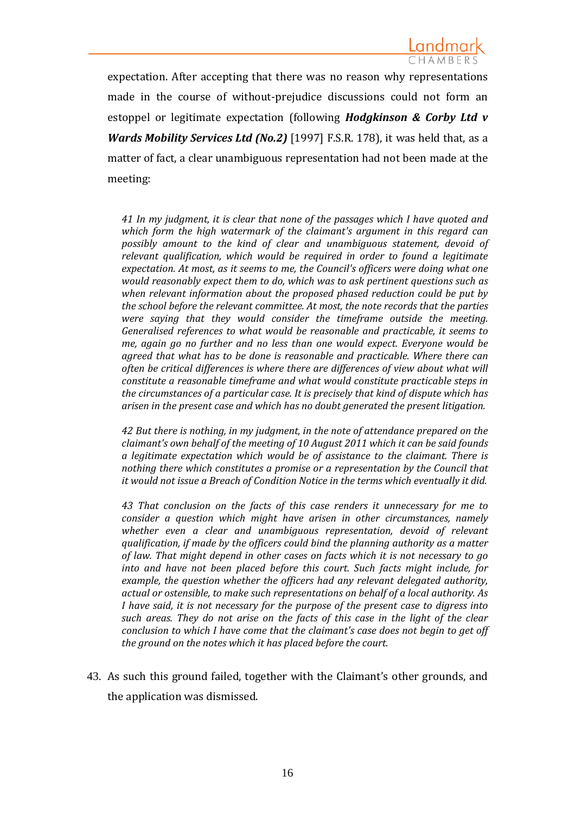expectation. After accepting that there was no reason why representations made in the course of without-prejudice discussions could not form an estoppel or legitimate expectation (following *Hodgkinson & Corby Ltd v Wards Mobility Services Ltd (No.2)* [1997] F.S.R. 178), it was held that, as a matter of fact, a clear unambiguous representation had not been made at the meeting:

*41 In my judgment, it is clear that none of the passages which I have quoted and which form the high watermark of the claimant's argument in this regard can possibly amount to the kind of clear and unambiguous statement, devoid of relevant qualification, which would be required in order to found a legitimate expectation. At most, as it seems to me, the Council's officers were doing what one would reasonably expect them to do, which was to ask pertinent questions such as when relevant information about the proposed phased reduction could be put by the school before the relevant committee. At most, the note records that the parties were saying that they would consider the timeframe outside the meeting. Generalised references to what would be reasonable and practicable, it seems to me, again go no further and no less than one would expect. Everyone would be agreed that what has to be done is reasonable and practicable. Where there can often be critical differences is where there are differences of view about what will constitute a reasonable timeframe and what would constitute practicable steps in the circumstances of a particular case. It is precisely that kind of dispute which has arisen in the present case and which has no doubt generated the present litigation.*

*42 But there is nothing, in my judgment, in the note of attendance prepared on the claimant's own behalf of the meeting of 10 August 2011 which it can be said founds a legitimate expectation which would be of assistance to the claimant. There is nothing there which constitutes a promise or a representation by the Council that it would not issue a Breach of Condition Notice in the terms which eventually it did.*

*43 That conclusion on the facts of this case renders it unnecessary for me to consider a question which might have arisen in other circumstances, namely whether even a clear and unambiguous representation, devoid of relevant qualification, if made by the officers could bind the planning authority as a matter of law. That might depend in other cases on facts which it is not necessary to go into and have not been placed before this court. Such facts might include, for example, the question whether the officers had any relevant delegated authority, actual or ostensible, to make such representations on behalf of a local authority. As I have said, it is not necessary for the purpose of the present case to digress into such areas. They do not arise on the facts of this case in the light of the clear conclusion to which I have come that the claimant's case does not begin to get off the ground on the notes which it has placed before the court.*

43. As such this ground failed, together with the Claimant's other grounds, and the application was dismissed.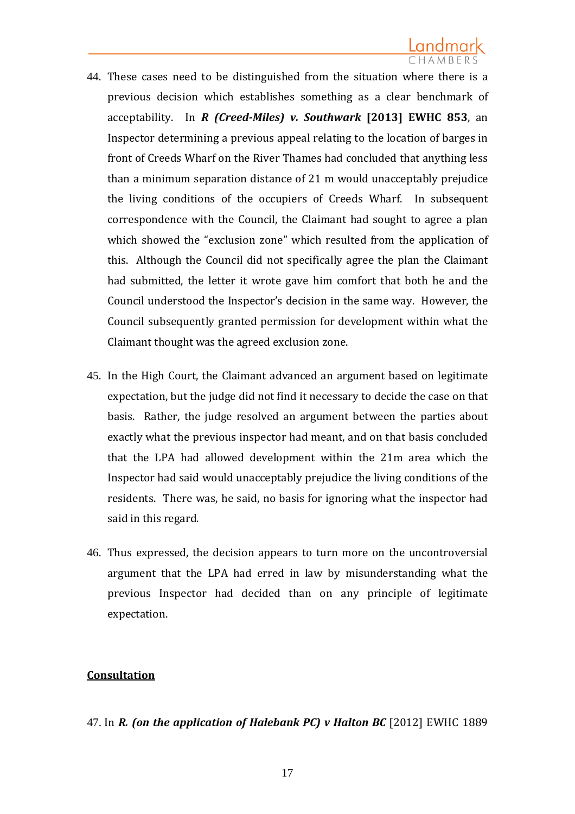- 44. These cases need to be distinguished from the situation where there is a previous decision which establishes something as a clear benchmark of acceptability. In *R (Creed-Miles) v. Southwark* **[2013] EWHC 853**, an Inspector determining a previous appeal relating to the location of barges in front of Creeds Wharf on the River Thames had concluded that anything less than a minimum separation distance of 21 m would unacceptably prejudice the living conditions of the occupiers of Creeds Wharf. In subsequent correspondence with the Council, the Claimant had sought to agree a plan which showed the "exclusion zone" which resulted from the application of this. Although the Council did not specifically agree the plan the Claimant had submitted, the letter it wrote gave him comfort that both he and the Council understood the Inspector's decision in the same way. However, the Council subsequently granted permission for development within what the Claimant thought was the agreed exclusion zone.
- 45. In the High Court, the Claimant advanced an argument based on legitimate expectation, but the judge did not find it necessary to decide the case on that basis. Rather, the judge resolved an argument between the parties about exactly what the previous inspector had meant, and on that basis concluded that the LPA had allowed development within the 21m area which the Inspector had said would unacceptably prejudice the living conditions of the residents. There was, he said, no basis for ignoring what the inspector had said in this regard.
- 46. Thus expressed, the decision appears to turn more on the uncontroversial argument that the LPA had erred in law by misunderstanding what the previous Inspector had decided than on any principle of legitimate expectation.

### **Consultation**

### 47. In *R. (on the application of Halebank PC) v Halton BC* [2012] EWHC 1889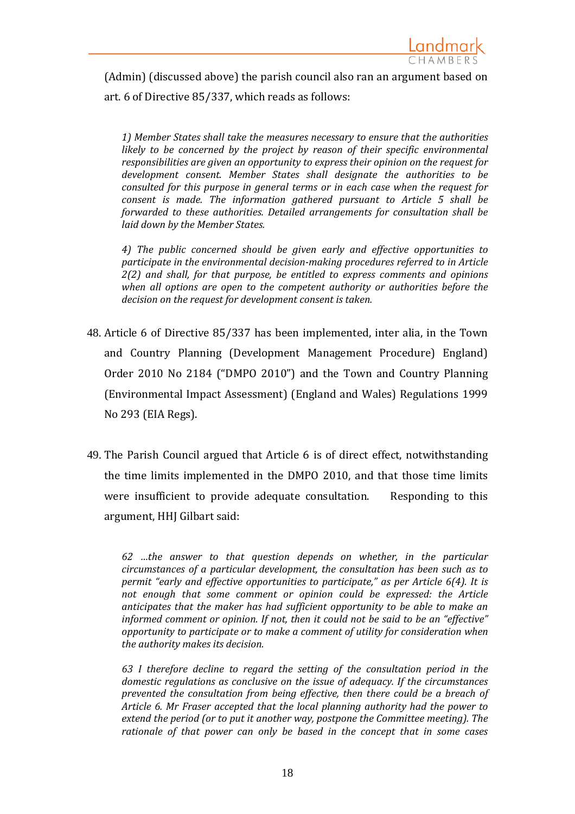

(Admin) (discussed above) the parish council also ran an argument based on art. 6 of Directive 85/337, which reads as follows:

*1) Member States shall take the measures necessary to ensure that the authorities likely to be concerned by the project by reason of their specific environmental responsibilities are given an opportunity to express their opinion on the request for development consent. Member States shall designate the authorities to be consulted for this purpose in general terms or in each case when the request for consent is made. The information gathered pursuant to Article 5 shall be forwarded to these authorities. Detailed arrangements for consultation shall be laid down by the Member States.*

*4) The public concerned should be given early and effective opportunities to participate in the environmental decision-making procedures referred to in Article 2(2) and shall, for that purpose, be entitled to express comments and opinions when all options are open to the competent authority or authorities before the decision on the request for development consent is taken.* 

- 48. Article 6 of Directive 85/337 has been implemented, inter alia, in the Town and Country Planning (Development Management Procedure) England) Order 2010 No 2184 ("DMPO 2010") and the Town and Country Planning (Environmental Impact Assessment) (England and Wales) Regulations 1999 No 293 (EIA Regs).
- 49. The Parish Council argued that Article 6 is of direct effect, notwithstanding the time limits implemented in the DMPO 2010, and that those time limits were insufficient to provide adequate consultation. Responding to this argument, HHJ Gilbart said:

*62 …the answer to that question depends on whether, in the particular circumstances of a particular development, the consultation has been such as to permit "early and effective opportunities to participate," as per Article 6(4). It is not enough that some comment or opinion could be expressed: the Article anticipates that the maker has had sufficient opportunity to be able to make an informed comment or opinion. If not, then it could not be said to be an "effective" opportunity to participate or to make a comment of utility for consideration when the authority makes its decision.*

*63 I therefore decline to regard the setting of the consultation period in the domestic regulations as conclusive on the issue of adequacy. If the circumstances prevented the consultation from being effective, then there could be a breach of Article 6. Mr Fraser accepted that the local planning authority had the power to extend the period (or to put it another way, postpone the Committee meeting). The rationale of that power can only be based in the concept that in some cases*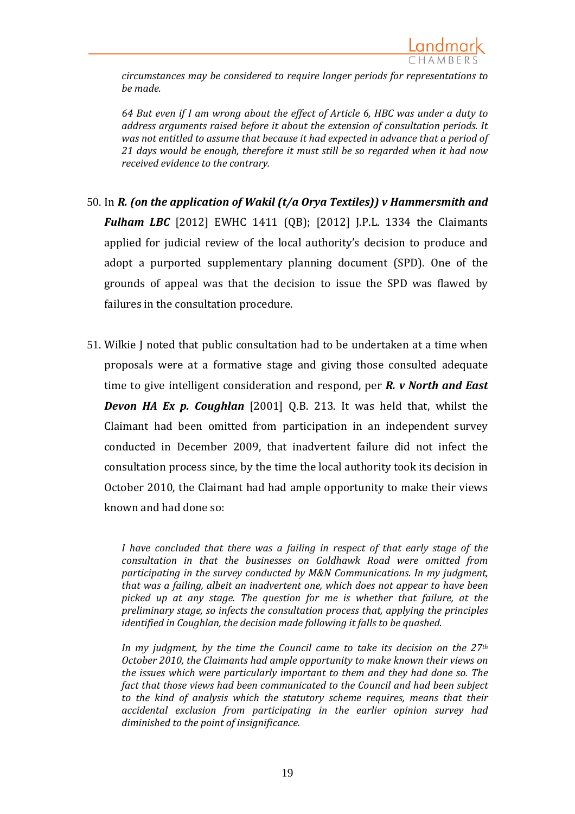

*circumstances may be considered to require longer periods for representations to be made.*

*64 But even if I am wrong about the effect of Article 6, HBC was under a duty to address arguments raised before it about the extension of consultation periods. It was not entitled to assume that because it had expected in advance that a period of 21 days would be enough, therefore it must still be so regarded when it had now received evidence to the contrary.* 

- 50. In *R. (on the application of Wakil (t/a Orya Textiles)) v Hammersmith and Fulham LBC* [2012] EWHC 1411 (QB); [2012] J.P.L. 1334 the Claimants applied for judicial review of the local authority's decision to produce and adopt a purported supplementary planning document (SPD). One of the grounds of appeal was that the decision to issue the SPD was flawed by failures in the consultation procedure.
- 51. Wilkie J noted that public consultation had to be undertaken at a time when proposals were at a formative stage and giving those consulted adequate time to give intelligent consideration and respond, per *R. v North and East Devon HA Ex p. Coughlan* [2001] Q.B. 213. It was held that, whilst the Claimant had been omitted from participation in an independent survey conducted in December 2009, that inadvertent failure did not infect the consultation process since, by the time the local authority took its decision in October 2010, the Claimant had had ample opportunity to make their views known and had done so:

*I have concluded that there was a failing in respect of that early stage of the consultation in that the businesses on Goldhawk Road were omitted from participating in the survey conducted by M&N Communications. In my judgment, that was a failing, albeit an inadvertent one, which does not appear to have been picked up at any stage. The question for me is whether that failure, at the preliminary stage, so infects the consultation process that, applying the principles identified in Coughlan, the decision made following it falls to be quashed.* 

*In my judgment, by the time the Council came to take its decision on the 27th October 2010, the Claimants had ample opportunity to make known their views on the issues which were particularly important to them and they had done so. The fact that those views had been communicated to the Council and had been subject to the kind of analysis which the statutory scheme requires, means that their accidental exclusion from participating in the earlier opinion survey had diminished to the point of insignificance.*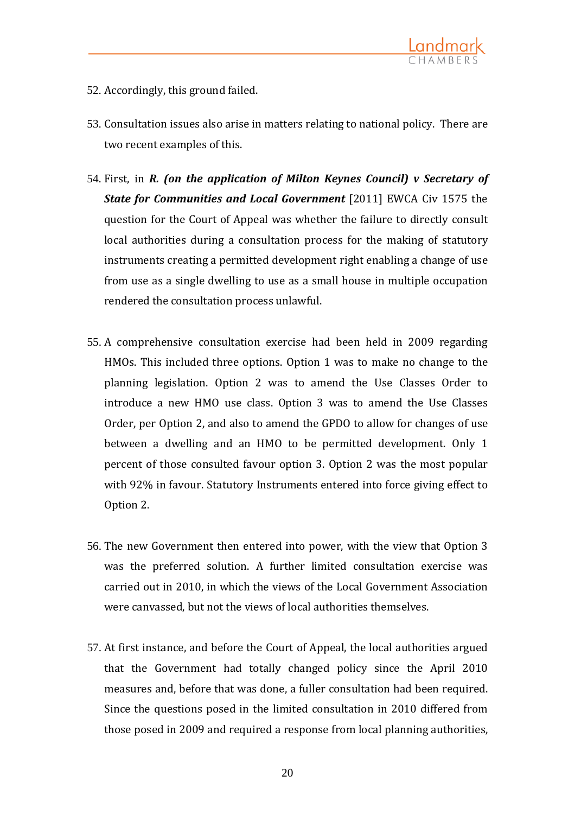

- 52. Accordingly, this ground failed.
- 53. Consultation issues also arise in matters relating to national policy. There are two recent examples of this.
- 54. First, in *R. (on the application of Milton Keynes Council) v Secretary of State for Communities and Local Government* [2011] EWCA Civ 1575 the question for the Court of Appeal was whether the failure to directly consult local authorities during a consultation process for the making of statutory instruments creating a permitted development right enabling a change of use from use as a single dwelling to use as a small house in multiple occupation rendered the consultation process unlawful.
- 55. A comprehensive consultation exercise had been held in 2009 regarding HMOs. This included three options. Option 1 was to make no change to the planning legislation. Option 2 was to amend the Use Classes Order to introduce a new HMO use class. Option 3 was to amend the Use Classes Order, per Option 2, and also to amend the GPDO to allow for changes of use between a dwelling and an HMO to be permitted development. Only 1 percent of those consulted favour option 3. Option 2 was the most popular with 92% in favour. Statutory Instruments entered into force giving effect to Option 2.
- 56. The new Government then entered into power, with the view that Option 3 was the preferred solution. A further limited consultation exercise was carried out in 2010, in which the views of the Local Government Association were canvassed, but not the views of local authorities themselves.
- 57. At first instance, and before the Court of Appeal, the local authorities argued that the Government had totally changed policy since the April 2010 measures and, before that was done, a fuller consultation had been required. Since the questions posed in the limited consultation in 2010 differed from those posed in 2009 and required a response from local planning authorities,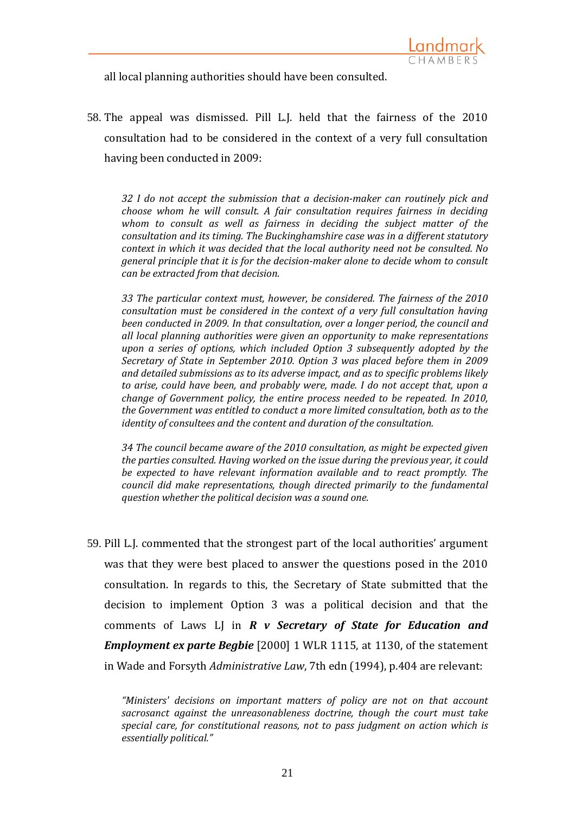all local planning authorities should have been consulted.

58. The appeal was dismissed. Pill L.J. held that the fairness of the 2010 consultation had to be considered in the context of a very full consultation having been conducted in 2009:

*32 I do not accept the submission that a decision-maker can routinely pick and choose whom he will consult. A fair consultation requires fairness in deciding whom to consult as well as fairness in deciding the subject matter of the consultation and its timing. The Buckinghamshire case was in a different statutory context in which it was decided that the local authority need not be consulted. No general principle that it is for the decision-maker alone to decide whom to consult can be extracted from that decision.*

*33 The particular context must, however, be considered. The fairness of the 2010 consultation must be considered in the context of a very full consultation having been conducted in 2009. In that consultation, over a longer period, the council and all local planning authorities were given an opportunity to make representations upon a series of options, which included Option 3 subsequently adopted by the Secretary of State in September 2010. Option 3 was placed before them in 2009 and detailed submissions as to its adverse impact, and as to specific problems likely to arise, could have been, and probably were, made. I do not accept that, upon a change of Government policy, the entire process needed to be repeated. In 2010, the Government was entitled to conduct a more limited consultation, both as to the identity of consultees and the content and duration of the consultation.* 

*34 The council became aware of the 2010 consultation, as might be expected given the parties consulted. Having worked on the issue during the previous year, it could be expected to have relevant information available and to react promptly. The council did make representations, though directed primarily to the fundamental question whether the political decision was a sound one.*

59. Pill L.J. commented that the strongest part of the local authorities' argument was that they were best placed to answer the questions posed in the 2010 consultation. In regards to this, the Secretary of State submitted that the decision to implement Option 3 was a political decision and that the comments of Laws LJ in *R v Secretary of State for Education and Employment ex parte Begbie* [2000] 1 WLR 1115, at 1130, of the statement in Wade and Forsyth *Administrative Law*, 7th edn (1994), p.404 are relevant:

*<sup>&</sup>quot;Ministers' decisions on important matters of policy are not on that account sacrosanct against the unreasonableness doctrine, though the court must take special care, for constitutional reasons, not to pass judgment on action which is essentially political."*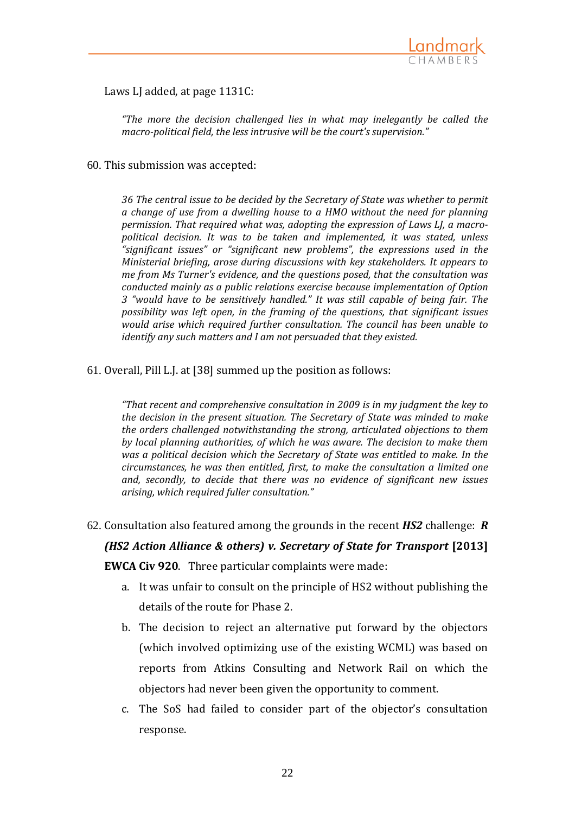

Laws LJ added, at page 1131C:

*"The more the decision challenged lies in what may inelegantly be called the macro-political field, the less intrusive will be the court's supervision."*

60. This submission was accepted:

*36 The central issue to be decided by the Secretary of State was whether to permit a change of use from a dwelling house to a HMO without the need for planning permission. That required what was, adopting the expression of Laws LJ, a macropolitical decision. It was to be taken and implemented, it was stated, unless "significant issues" or "significant new problems", the expressions used in the Ministerial briefing, arose during discussions with key stakeholders. It appears to me from Ms Turner's evidence, and the questions posed, that the consultation was conducted mainly as a public relations exercise because implementation of Option 3 "would have to be sensitively handled." It was still capable of being fair. The possibility was left open, in the framing of the questions, that significant issues would arise which required further consultation. The council has been unable to identify any such matters and I am not persuaded that they existed.*

61. Overall, Pill L.J. at [38] summed up the position as follows:

*"That recent and comprehensive consultation in 2009 is in my judgment the key to the decision in the present situation. The Secretary of State was minded to make the orders challenged notwithstanding the strong, articulated objections to them by local planning authorities, of which he was aware. The decision to make them was a political decision which the Secretary of State was entitled to make. In the circumstances, he was then entitled, first, to make the consultation a limited one and, secondly, to decide that there was no evidence of significant new issues arising, which required fuller consultation."*

62. Consultation also featured among the grounds in the recent *HS2* challenge: *R* 

# *(HS2 Action Alliance & others) v. Secretary of State for Transport* **[2013]**

**EWCA Civ 920**. Three particular complaints were made:

- a. It was unfair to consult on the principle of HS2 without publishing the details of the route for Phase 2.
- b. The decision to reject an alternative put forward by the objectors (which involved optimizing use of the existing WCML) was based on reports from Atkins Consulting and Network Rail on which the objectors had never been given the opportunity to comment.
- c. The SoS had failed to consider part of the objector's consultation response.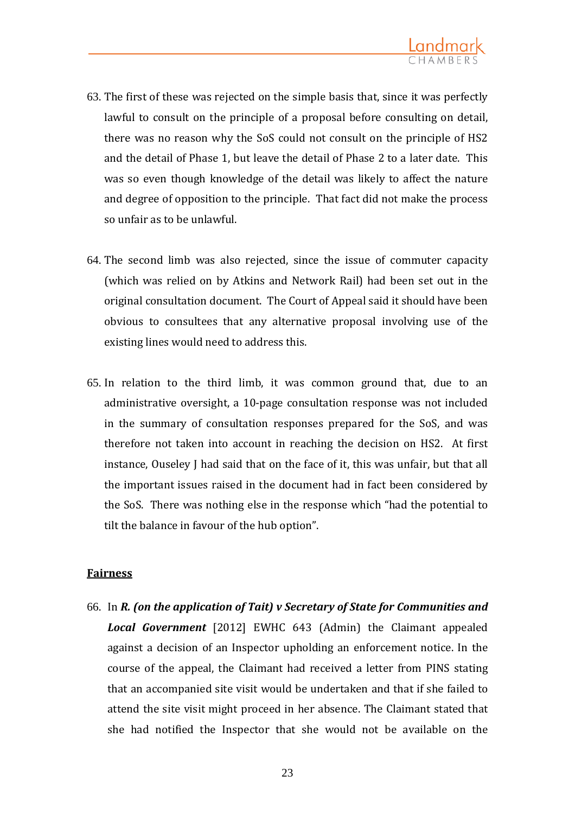

- 63. The first of these was rejected on the simple basis that, since it was perfectly lawful to consult on the principle of a proposal before consulting on detail, there was no reason why the SoS could not consult on the principle of HS2 and the detail of Phase 1, but leave the detail of Phase 2 to a later date. This was so even though knowledge of the detail was likely to affect the nature and degree of opposition to the principle. That fact did not make the process so unfair as to be unlawful.
- 64. The second limb was also rejected, since the issue of commuter capacity (which was relied on by Atkins and Network Rail) had been set out in the original consultation document. The Court of Appeal said it should have been obvious to consultees that any alternative proposal involving use of the existing lines would need to address this.
- 65. In relation to the third limb, it was common ground that, due to an administrative oversight, a 10-page consultation response was not included in the summary of consultation responses prepared for the SoS, and was therefore not taken into account in reaching the decision on HS2. At first instance, Ouseley J had said that on the face of it, this was unfair, but that all the important issues raised in the document had in fact been considered by the SoS. There was nothing else in the response which "had the potential to tilt the balance in favour of the hub option".

### **Fairness**

66. In *R. (on the application of Tait) v Secretary of State for Communities and Local Government* [2012] EWHC 643 (Admin) the Claimant appealed against a decision of an Inspector upholding an enforcement notice. In the course of the appeal, the Claimant had received a letter from PINS stating that an accompanied site visit would be undertaken and that if she failed to attend the site visit might proceed in her absence. The Claimant stated that she had notified the Inspector that she would not be available on the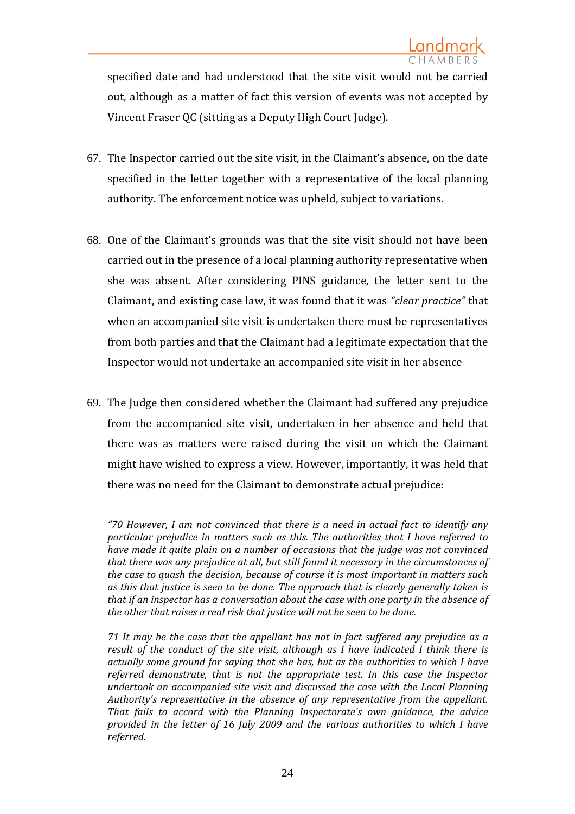specified date and had understood that the site visit would not be carried out, although as a matter of fact this version of events was not accepted by Vincent Fraser QC (sitting as a Deputy High Court Judge).

- 67. The Inspector carried out the site visit, in the Claimant's absence, on the date specified in the letter together with a representative of the local planning authority. The enforcement notice was upheld, subject to variations.
- 68. One of the Claimant's grounds was that the site visit should not have been carried out in the presence of a local planning authority representative when she was absent. After considering PINS guidance, the letter sent to the Claimant, and existing case law, it was found that it was *"clear practice"* that when an accompanied site visit is undertaken there must be representatives from both parties and that the Claimant had a legitimate expectation that the Inspector would not undertake an accompanied site visit in her absence
- 69. The Judge then considered whether the Claimant had suffered any prejudice from the accompanied site visit, undertaken in her absence and held that there was as matters were raised during the visit on which the Claimant might have wished to express a view. However, importantly, it was held that there was no need for the Claimant to demonstrate actual prejudice:

*"70 However, I am not convinced that there is a need in actual fact to identify any particular prejudice in matters such as this. The authorities that I have referred to have made it quite plain on a number of occasions that the judge was not convinced that there was any prejudice at all, but still found it necessary in the circumstances of the case to quash the decision, because of course it is most important in matters such as this that justice is seen to be done. The approach that is clearly generally taken is that if an inspector has a conversation about the case with one party in the absence of the other that raises a real risk that justice will not be seen to be done.*

*71 It may be the case that the appellant has not in fact suffered any prejudice as a result of the conduct of the site visit, although as I have indicated I think there is actually some ground for saying that she has, but as the authorities to which I have referred demonstrate, that is not the appropriate test. In this case the Inspector undertook an accompanied site visit and discussed the case with the Local Planning Authority's representative in the absence of any representative from the appellant. That fails to accord with the Planning Inspectorate's own guidance, the advice provided in the letter of 16 July 2009 and the various authorities to which I have referred.*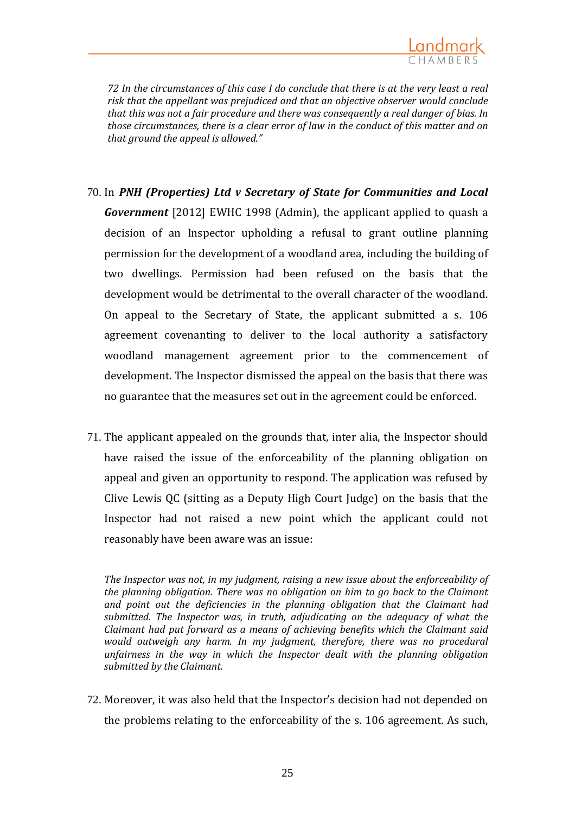

*72 In the circumstances of this case I do conclude that there is at the very least a real risk that the appellant was prejudiced and that an objective observer would conclude that this was not a fair procedure and there was consequently a real danger of bias. In those circumstances, there is a clear error of law in the conduct of this matter and on that ground the appeal is allowed."*

- 70. In *PNH (Properties) Ltd v Secretary of State for Communities and Local Government* [2012] EWHC 1998 (Admin), the applicant applied to quash a decision of an Inspector upholding a refusal to grant outline planning permission for the development of a woodland area, including the building of two dwellings. Permission had been refused on the basis that the development would be detrimental to the overall character of the woodland. On appeal to the Secretary of State, the applicant submitted a s. 106 agreement covenanting to deliver to the local authority a satisfactory woodland management agreement prior to the commencement of development. The Inspector dismissed the appeal on the basis that there was no guarantee that the measures set out in the agreement could be enforced.
- 71. The applicant appealed on the grounds that, inter alia, the Inspector should have raised the issue of the enforceability of the planning obligation on appeal and given an opportunity to respond. The application was refused by Clive Lewis QC (sitting as a Deputy High Court Judge) on the basis that the Inspector had not raised a new point which the applicant could not reasonably have been aware was an issue:

*The Inspector was not, in my judgment, raising a new issue about the enforceability of the planning obligation. There was no obligation on him to go back to the Claimant and point out the deficiencies in the planning obligation that the Claimant had submitted. The Inspector was, in truth, adjudicating on the adequacy of what the Claimant had put forward as a means of achieving benefits which the Claimant said would outweigh any harm. In my judgment, therefore, there was no procedural unfairness in the way in which the Inspector dealt with the planning obligation submitted by the Claimant.*

72. Moreover, it was also held that the Inspector's decision had not depended on the problems relating to the enforceability of the s. 106 agreement. As such,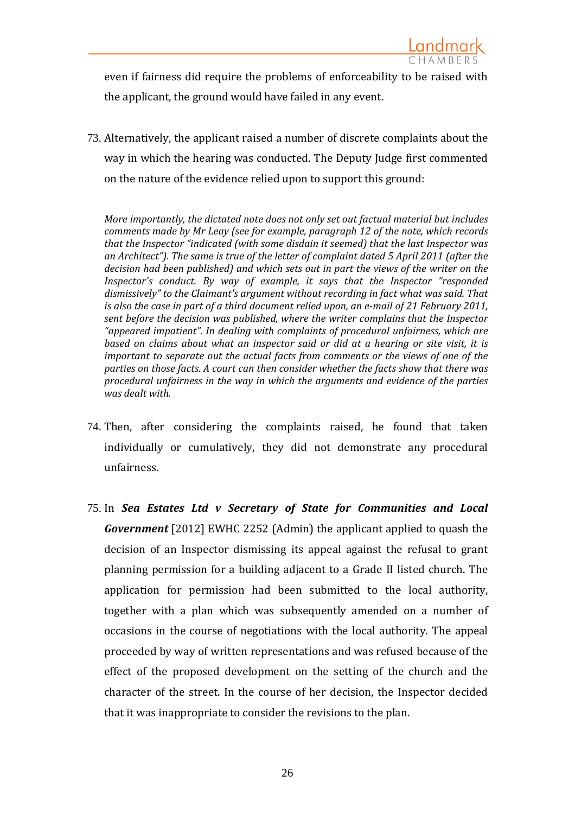even if fairness did require the problems of enforceability to be raised with the applicant, the ground would have failed in any event.

73. Alternatively, the applicant raised a number of discrete complaints about the way in which the hearing was conducted. The Deputy Judge first commented on the nature of the evidence relied upon to support this ground:

*More importantly, the dictated note does not only set out factual material but includes comments made by Mr Leay (see for example, paragraph 12 of the note, which records that the Inspector "indicated (with some disdain it seemed) that the last Inspector was an Architect"). The same is true of the letter of complaint dated 5 April 2011 (after the decision had been published) and which sets out in part the views of the writer on the Inspector's conduct. By way of example, it says that the Inspector "responded dismissively" to the Claimant's argument without recording in fact what was said. That is also the case in part of a third document relied upon, an e-mail of 21 February 2011, sent before the decision was published, where the writer complains that the Inspector "appeared impatient". In dealing with complaints of procedural unfairness, which are based on claims about what an inspector said or did at a hearing or site visit, it is important to separate out the actual facts from comments or the views of one of the parties on those facts. A court can then consider whether the facts show that there was procedural unfairness in the way in which the arguments and evidence of the parties was dealt with.*

- 74. Then, after considering the complaints raised, he found that taken individually or cumulatively, they did not demonstrate any procedural unfairness.
- 75. In *Sea Estates Ltd v Secretary of State for Communities and Local Government* [2012] EWHC 2252 (Admin) the applicant applied to quash the decision of an Inspector dismissing its appeal against the refusal to grant planning permission for a building adjacent to a Grade II listed church. The application for permission had been submitted to the local authority, together with a plan which was subsequently amended on a number of occasions in the course of negotiations with the local authority. The appeal proceeded by way of written representations and was refused because of the effect of the proposed development on the setting of the church and the character of the street. In the course of her decision, the Inspector decided that it was inappropriate to consider the revisions to the plan.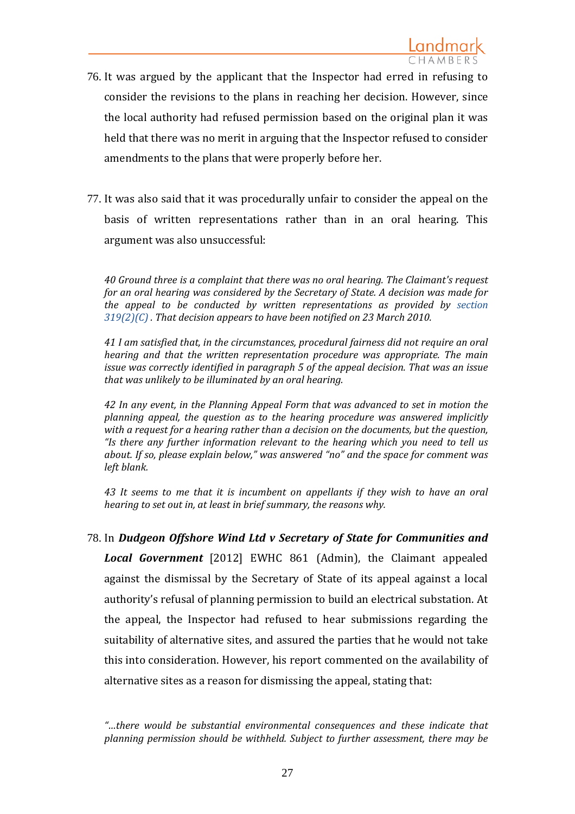- 76. It was argued by the applicant that the Inspector had erred in refusing to consider the revisions to the plans in reaching her decision. However, since the local authority had refused permission based on the original plan it was held that there was no merit in arguing that the Inspector refused to consider amendments to the plans that were properly before her.
- 77. It was also said that it was procedurally unfair to consider the appeal on the basis of written representations rather than in an oral hearing. This argument was also unsuccessful:

*40 Ground three is a complaint that there was no oral hearing. The Claimant's request for an oral hearing was considered by the Secretary of State. A decision was made for the appeal to be conducted by written representations as provided by [section](http://login.westlaw.co.uk/maf/wluk/app/document?src=doc&linktype=ref&&context=4&crumb-action=replace&docguid=I1270F110E44C11DA8D70A0E70A78ED65)  [319\(2\)\(C\)](http://login.westlaw.co.uk/maf/wluk/app/document?src=doc&linktype=ref&&context=4&crumb-action=replace&docguid=I1270F110E44C11DA8D70A0E70A78ED65) . That decision appears to have been notified on 23 March 2010.*

*41 I am satisfied that, in the circumstances, procedural fairness did not require an oral hearing and that the written representation procedure was appropriate. The main issue was correctly identified in paragraph 5 of the appeal decision. That was an issue that was unlikely to be illuminated by an oral hearing.*

*42 In any event, in the Planning Appeal Form that was advanced to set in motion the planning appeal, the question as to the hearing procedure was answered implicitly with a request for a hearing rather than a decision on the documents, but the question, "Is there any further information relevant to the hearing which you need to tell us about. If so, please explain below," was answered "no" and the space for comment was left blank.*

*43 It seems to me that it is incumbent on appellants if they wish to have an oral hearing to set out in, at least in brief summary, the reasons why.*

78. In *Dudgeon Offshore Wind Ltd v Secretary of State for Communities and Local Government* [2012] EWHC 861 (Admin), the Claimant appealed against the dismissal by the Secretary of State of its appeal against a local authority's refusal of planning permission to build an electrical substation. At the appeal, the Inspector had refused to hear submissions regarding the suitability of alternative sites, and assured the parties that he would not take this into consideration. However, his report commented on the availability of alternative sites as a reason for dismissing the appeal, stating that:

*<sup>&</sup>quot;…there would be substantial environmental consequences and these indicate that planning permission should be withheld. Subject to further assessment, there may be*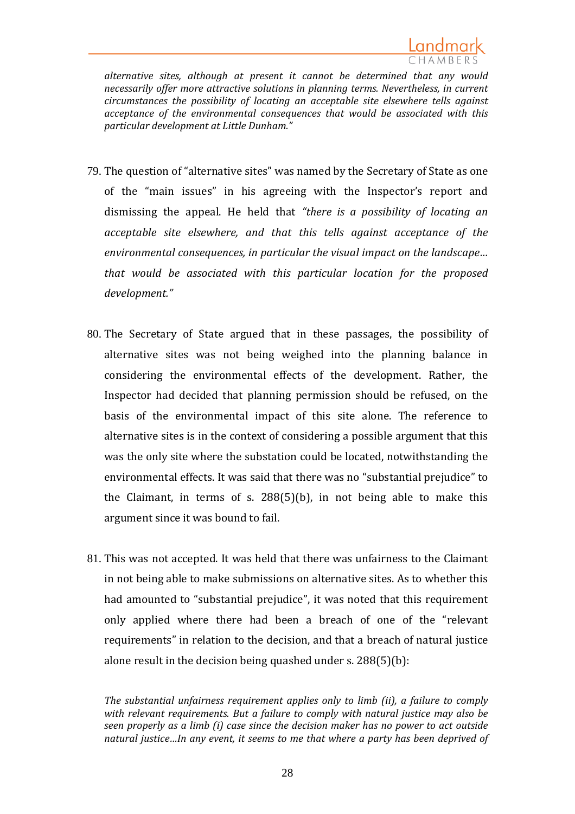

*alternative sites, although at present it cannot be determined that any would necessarily offer more attractive solutions in planning terms. Nevertheless, in current circumstances the possibility of locating an acceptable site elsewhere tells against acceptance of the environmental consequences that would be associated with this particular development at Little Dunham."*

- 79. The question of "alternative sites" was named by the Secretary of State as one of the "main issues" in his agreeing with the Inspector's report and dismissing the appeal. He held that *"there is a possibility of locating an acceptable site elsewhere, and that this tells against acceptance of the environmental consequences, in particular the visual impact on the landscape… that would be associated with this particular location for the proposed development."*
- 80. The Secretary of State argued that in these passages, the possibility of alternative sites was not being weighed into the planning balance in considering the environmental effects of the development. Rather, the Inspector had decided that planning permission should be refused, on the basis of the environmental impact of this site alone. The reference to alternative sites is in the context of considering a possible argument that this was the only site where the substation could be located, notwithstanding the environmental effects. It was said that there was no "substantial prejudice" to the Claimant, in terms of s. 288(5)(b), in not being able to make this argument since it was bound to fail.
- 81. This was not accepted. It was held that there was unfairness to the Claimant in not being able to make submissions on alternative sites. As to whether this had amounted to "substantial prejudice", it was noted that this requirement only applied where there had been a breach of one of the "relevant requirements" in relation to the decision, and that a breach of natural justice alone result in the decision being quashed under s. 288(5)(b):

*The substantial unfairness requirement applies only to limb (ii), a failure to comply with relevant requirements. But a failure to comply with natural justice may also be seen properly as a limb (i) case since the decision maker has no power to act outside natural justice…In any event, it seems to me that where a party has been deprived of*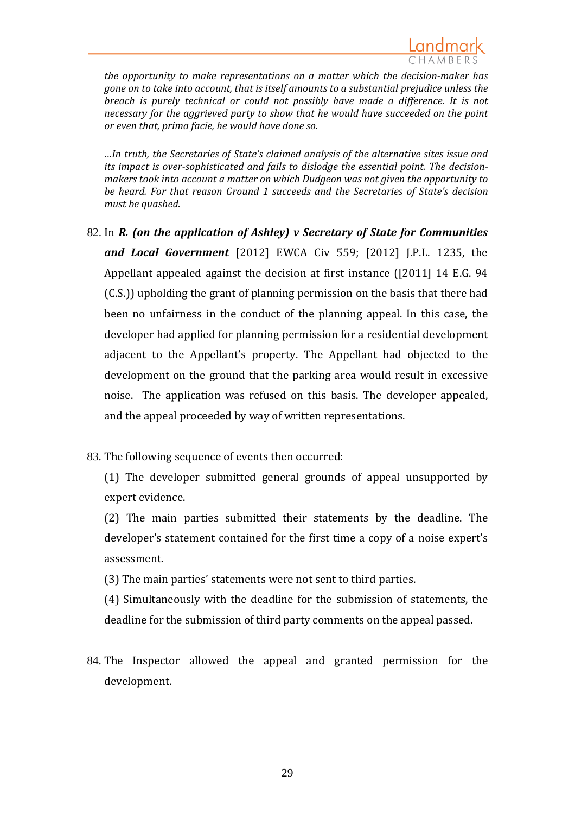

*the opportunity to make representations on a matter which the decision-maker has gone on to take into account, that is itself amounts to a substantial prejudice unless the breach is purely technical or could not possibly have made a difference. It is not necessary for the aggrieved party to show that he would have succeeded on the point or even that, prima facie, he would have done so.*

*…In truth, the Secretaries of State's claimed analysis of the alternative sites issue and its impact is over-sophisticated and fails to dislodge the essential point. The decisionmakers took into account a matter on which Dudgeon was not given the opportunity to be heard. For that reason Ground 1 succeeds and the Secretaries of State's decision must be quashed.* 

- 82. In *R. (on the application of Ashley) v Secretary of State for Communities and Local Government* [2012] EWCA Civ 559; [2012] J.P.L. 1235, the Appellant appealed against the decision at first instance ([2011] 14 E.G. 94 (C.S.)) upholding the grant of planning permission on the basis that there had been no unfairness in the conduct of the planning appeal. In this case, the developer had applied for planning permission for a residential development adjacent to the Appellant's property. The Appellant had objected to the development on the ground that the parking area would result in excessive noise. The application was refused on this basis. The developer appealed, and the appeal proceeded by way of written representations.
- 83. The following sequence of events then occurred:

(1) The developer submitted general grounds of appeal unsupported by expert evidence.

(2) The main parties submitted their statements by the deadline. The developer's statement contained for the first time a copy of a noise expert's assessment.

(3) The main parties' statements were not sent to third parties.

(4) Simultaneously with the deadline for the submission of statements, the deadline for the submission of third party comments on the appeal passed.

84. The Inspector allowed the appeal and granted permission for the development.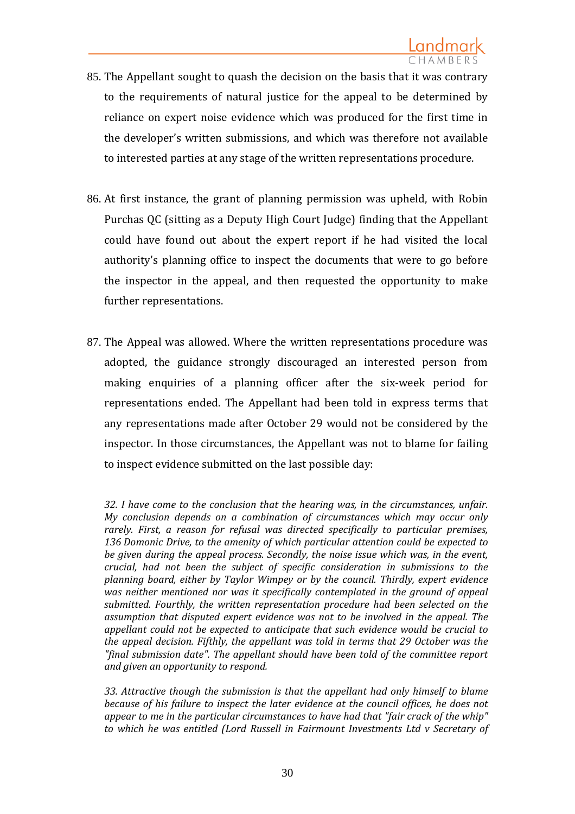- 85. The Appellant sought to quash the decision on the basis that it was contrary to the requirements of natural justice for the appeal to be determined by reliance on expert noise evidence which was produced for the first time in the developer's written submissions, and which was therefore not available to interested parties at any stage of the written representations procedure.
- 86. At first instance, the grant of planning permission was upheld, with Robin Purchas QC (sitting as a Deputy High Court Judge) finding that the Appellant could have found out about the expert report if he had visited the local authority's planning office to inspect the documents that were to go before the inspector in the appeal, and then requested the opportunity to make further representations.
- 87. The Appeal was allowed. Where the written representations procedure was adopted, the guidance strongly discouraged an interested person from making enquiries of a planning officer after the six-week period for representations ended. The Appellant had been told in express terms that any representations made after October 29 would not be considered by the inspector. In those circumstances, the Appellant was not to blame for failing to inspect evidence submitted on the last possible day:

*<sup>32.</sup> I have come to the conclusion that the hearing was, in the circumstances, unfair. My conclusion depends on a combination of circumstances which may occur only rarely. First, a reason for refusal was directed specifically to particular premises, 136 Domonic Drive, to the amenity of which particular attention could be expected to be given during the appeal process. Secondly, the noise issue which was, in the event, crucial, had not been the subject of specific consideration in submissions to the planning board, either by Taylor Wimpey or by the council. Thirdly, expert evidence was neither mentioned nor was it specifically contemplated in the ground of appeal submitted. Fourthly, the written representation procedure had been selected on the assumption that disputed expert evidence was not to be involved in the appeal. The appellant could not be expected to anticipate that such evidence would be crucial to the appeal decision. Fifthly, the appellant was told in terms that 29 October was the "final submission date". The appellant should have been told of the committee report and given an opportunity to respond.*

*<sup>33.</sup> Attractive though the submission is that the appellant had only himself to blame because of his failure to inspect the later evidence at the council offices, he does not appear to me in the particular circumstances to have had that "fair crack of the whip" to which he was entitled (Lord Russell in Fairmount Investments Ltd v Secretary of*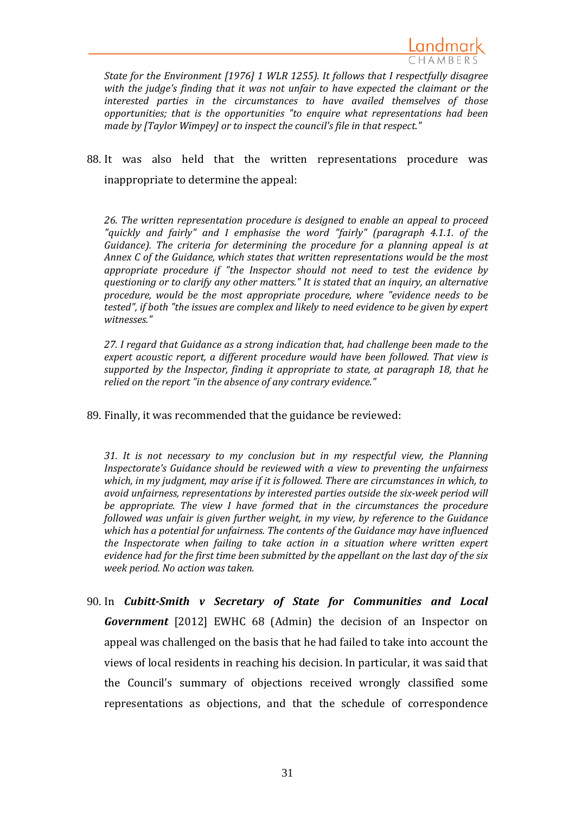

*State for the Environment [1976] 1 WLR 1255). It follows that I respectfully disagree with the judge's finding that it was not unfair to have expected the claimant or the interested parties in the circumstances to have availed themselves of those opportunities; that is the opportunities "to enquire what representations had been made by [Taylor Wimpey] or to inspect the council's file in that respect."*

88. It was also held that the written representations procedure was inappropriate to determine the appeal:

*26. The written representation procedure is designed to enable an appeal to proceed "quickly and fairly" and I emphasise the word "fairly" (paragraph 4.1.1. of the Guidance). The criteria for determining the procedure for a planning appeal is at Annex C of the Guidance, which states that written representations would be the most appropriate procedure if "the Inspector should not need to test the evidence by questioning or to clarify any other matters." It is stated that an inquiry, an alternative procedure, would be the most appropriate procedure, where "evidence needs to be tested", if both "the issues are complex and likely to need evidence to be given by expert witnesses."*

*27. I regard that Guidance as a strong indication that, had challenge been made to the expert acoustic report, a different procedure would have been followed. That view is supported by the Inspector, finding it appropriate to state, at paragraph 18, that he relied on the report "in the absence of any contrary evidence."*

89. Finally, it was recommended that the guidance be reviewed:

*31. It is not necessary to my conclusion but in my respectful view, the Planning Inspectorate's Guidance should be reviewed with a view to preventing the unfairness which, in my judgment, may arise if it is followed. There are circumstances in which, to avoid unfairness, representations by interested parties outside the six-week period will be appropriate. The view I have formed that in the circumstances the procedure followed was unfair is given further weight, in my view, by reference to the Guidance which has a potential for unfairness. The contents of the Guidance may have influenced the Inspectorate when failing to take action in a situation where written expert evidence had for the first time been submitted by the appellant on the last day of the six week period. No action was taken.*

90. In *Cubitt-Smith v Secretary of State for Communities and Local Government* [2012] EWHC 68 (Admin) the decision of an Inspector on appeal was challenged on the basis that he had failed to take into account the views of local residents in reaching his decision. In particular, it was said that the Council's summary of objections received wrongly classified some representations as objections, and that the schedule of correspondence